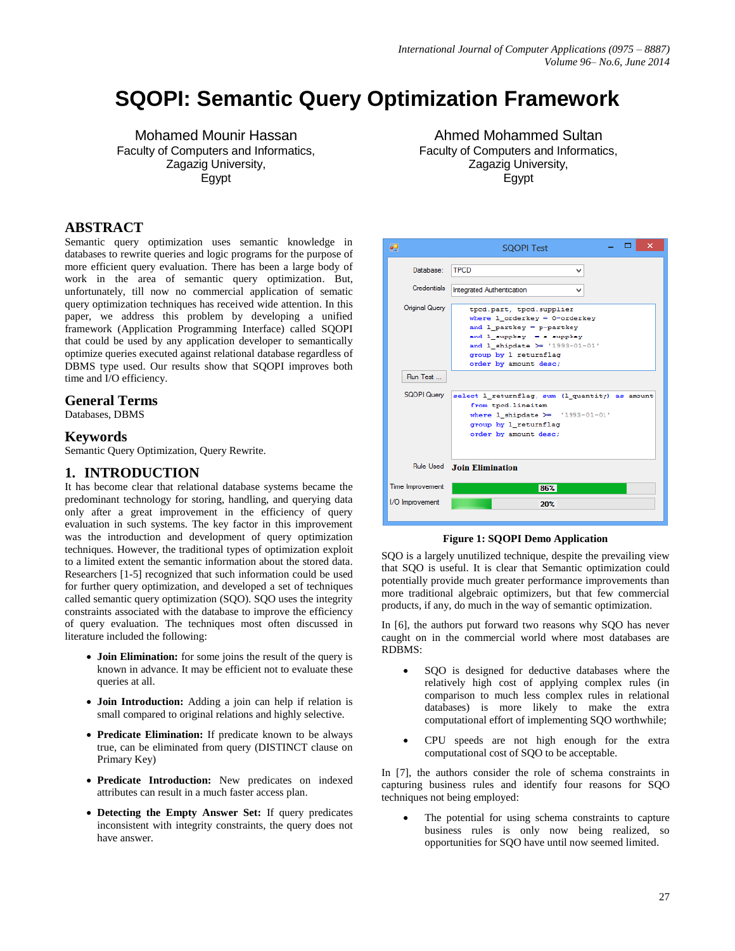# **SQOPI: Semantic Query Optimization Framework**

Mohamed Mounir Hassan Faculty of Computers and Informatics, Zagazig University, Egypt

## **ABSTRACT**

Semantic query optimization uses semantic knowledge in databases to rewrite queries and logic programs for the purpose of more efficient query evaluation. There has been a large body of work in the area of semantic query optimization. But, unfortunately, till now no commercial application of sematic query optimization techniques has received wide attention. In this paper, we address this problem by developing a unified framework (Application Programming Interface) called SQOPI that could be used by any application developer to semantically optimize queries executed against relational database regardless of DBMS type used. Our results show that SQOPI improves both time and I/O efficiency.

#### **General Terms**

Databases, DBMS

#### **Keywords**

Semantic Query Optimization, Query Rewrite.

#### **1. INTRODUCTION**

It has become clear that relational database systems became the predominant technology for storing, handling, and querying data only after a great improvement in the efficiency of query evaluation in such systems. The key factor in this improvement was the introduction and development of query optimization techniques. However, the traditional types of optimization exploit to a limited extent the semantic information about the stored data. Researchers [\[1-5\]](#page-5-0) recognized that such information could be used for further query optimization, and developed a set of techniques called semantic query optimization (SQO). SQO uses the integrity constraints associated with the database to improve the efficiency of query evaluation. The techniques most often discussed in literature included the following:

- **Join Elimination:** for some joins the result of the query is known in advance. It may be efficient not to evaluate these queries at all.
- **Join Introduction:** Adding a join can help if relation is small compared to original relations and highly selective.
- **Predicate Elimination:** If predicate known to be always true, can be eliminated from query (DISTINCT clause on Primary Key)
- **Predicate Introduction:** New predicates on indexed attributes can result in a much faster access plan.
- **Detecting the Empty Answer Set:** If query predicates inconsistent with integrity constraints, the query does not have answer.

Ahmed Mohammed Sultan Faculty of Computers and Informatics, Zagazig University, Egypt

| αQ                 | ×<br><b>SQOPI Test</b>                                                                                                                                                                                                  |
|--------------------|-------------------------------------------------------------------------------------------------------------------------------------------------------------------------------------------------------------------------|
| Database:          | <b>TPCD</b><br>v                                                                                                                                                                                                        |
| <b>Credentials</b> | <b>Integrated Authentication</b>                                                                                                                                                                                        |
| Original Query     | tped.part, tped.supplier<br>where $1$ orderkey = $0$ -orderkey<br>and $1$ partkey = p-partkey<br>and $1$ suppkey $-$ s suppkey<br>and 1 shipdate $\succ$ '1993-01-01'<br>group by 1 returnflag<br>order by amount desc; |
| Run Test           |                                                                                                                                                                                                                         |
| SQOPI Query        | select 1 returnflag, sum (1 quantity) as amount<br>from tpcd.lineitem<br>where $1$ shipdate $\geq$ '1993-01-01'<br>group by 1 returnflag<br>order by amount desc;                                                       |
|                    | Rule Used Join Elimination                                                                                                                                                                                              |
| Time Improvement   | 86%                                                                                                                                                                                                                     |
| I/O Improvement    | 20%                                                                                                                                                                                                                     |

#### **Figure 1: SQOPI Demo Application**

<span id="page-0-0"></span>SQO is a largely unutilized technique, despite the prevailing view that SQO is useful. It is clear that Semantic optimization could potentially provide much greater performance improvements than more traditional algebraic optimizers, but that few commercial products, if any, do much in the way of semantic optimization.

In [\[6\]](#page-5-1), the authors put forward two reasons why SQO has never caught on in the commercial world where most databases are RDBMS:

- SQO is designed for deductive databases where the relatively high cost of applying complex rules (in comparison to much less complex rules in relational databases) is more likely to make the extra computational effort of implementing SQO worthwhile;
- CPU speeds are not high enough for the extra computational cost of SQO to be acceptable.

In [\[7\]](#page-5-2), the authors consider the role of schema constraints in capturing business rules and identify four reasons for SQO techniques not being employed:

 The potential for using schema constraints to capture business rules is only now being realized, so opportunities for SQO have until now seemed limited.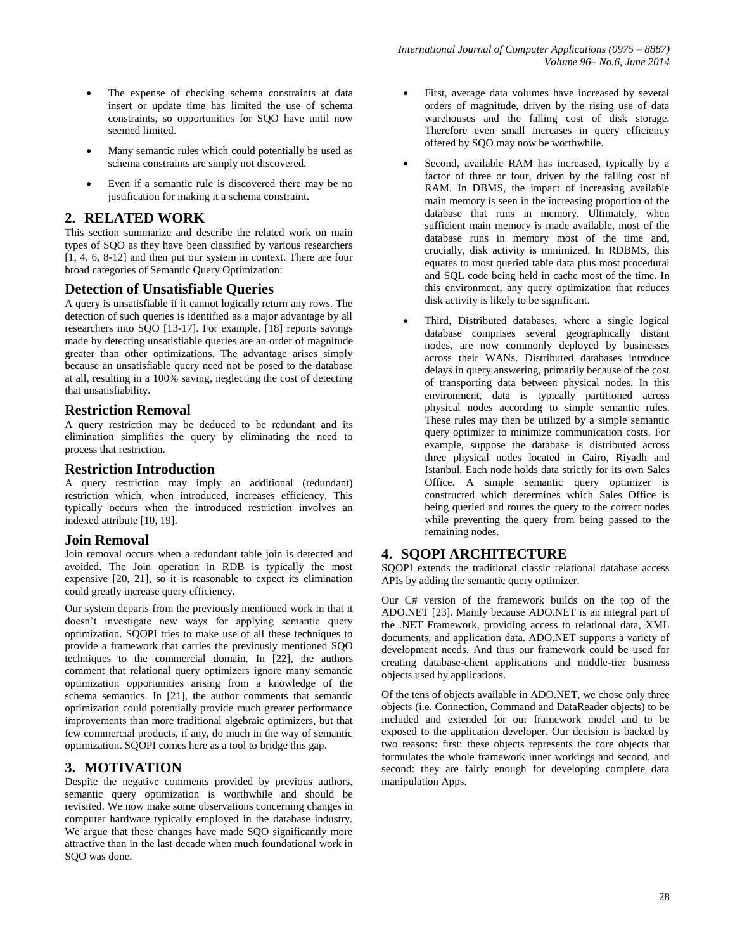- The expense of checking schema constraints at data insert or update time has limited the use of schema constraints, so opportunities for SQO have until now seemed limited.
- Many semantic rules which could potentially be used as schema constraints are simply not discovered.
- Even if a semantic rule is discovered there may be no justification for making it a schema constraint.

# **2. RELATED WORK**

This section summarize and describe the related work on main types of SQO as they have been classified by various researchers [\[1,](#page-5-0) [4,](#page-5-3) [6,](#page-5-1) [8-12\]](#page-5-4) and then put our system in context. There are four broad categories of Semantic Query Optimization:

## **Detection of Unsatisfiable Queries**

A query is unsatisfiable if it cannot logically return any rows. The detection of such queries is identified as a major advantage by all researchers into SQO [\[13-17\]](#page-5-5). For example, [\[18\]](#page-5-6) reports savings made by detecting unsatisfiable queries are an order of magnitude greater than other optimizations. The advantage arises simply because an unsatisfiable query need not be posed to the database at all, resulting in a 100% saving, neglecting the cost of detecting that unsatisfiability.

## **Restriction Removal**

A query restriction may be deduced to be redundant and its elimination simplifies the query by eliminating the need to process that restriction.

## **Restriction Introduction**

A query restriction may imply an additional (redundant) restriction which, when introduced, increases efficiency. This typically occurs when the introduced restriction involves an indexed attribute [\[10,](#page-5-7) [19\]](#page-5-8).

#### **Join Removal**

Join removal occurs when a redundant table join is detected and avoided. The Join operation in RDB is typically the most expensive [\[20,](#page-5-9) [21\]](#page-5-10), so it is reasonable to expect its elimination could greatly increase query efficiency.

Our system departs from the previously mentioned work in that it doesn't investigate new ways for applying semantic query optimization. SQOPI tries to make use of all these techniques to provide a framework that carries the previously mentioned SQO techniques to the commercial domain. In [\[22\]](#page-5-11), the authors comment that relational query optimizers ignore many semantic optimization opportunities arising from a knowledge of the schema semantics. In [\[21\]](#page-5-10), the author comments that semantic optimization could potentially provide much greater performance improvements than more traditional algebraic optimizers, but that few commercial products, if any, do much in the way of semantic optimization. SQOPI comes here as a tool to bridge this gap.

# **3. MOTIVATION**

Despite the negative comments provided by previous authors, semantic query optimization is worthwhile and should be revisited. We now make some observations concerning changes in computer hardware typically employed in the database industry. We argue that these changes have made SQO significantly more attractive than in the last decade when much foundational work in SQO was done.

- First, average data volumes have increased by several orders of magnitude, driven by the rising use of data warehouses and the falling cost of disk storage. Therefore even small increases in query efficiency offered by SQO may now be worthwhile.
- Second, available RAM has increased, typically by a factor of three or four, driven by the falling cost of RAM. In DBMS, the impact of increasing available main memory is seen in the increasing proportion of the database that runs in memory. Ultimately, when sufficient main memory is made available, most of the database runs in memory most of the time and, crucially, disk activity is minimized. In RDBMS, this equates to most queried table data plus most procedural and SQL code being held in cache most of the time. In this environment, any query optimization that reduces disk activity is likely to be significant.
- Third, Distributed databases, where a single logical database comprises several geographically distant nodes, are now commonly deployed by businesses across their WANs. Distributed databases introduce delays in query answering, primarily because of the cost of transporting data between physical nodes. In this environment, data is typically partitioned across physical nodes according to simple semantic rules. These rules may then be utilized by a simple semantic query optimizer to minimize communication costs. For example, suppose the database is distributed across three physical nodes located in Cairo, Riyadh and Istanbul. Each node holds data strictly for its own Sales Office. A simple semantic query optimizer is constructed which determines which Sales Office is being queried and routes the query to the correct nodes while preventing the query from being passed to the remaining nodes.

# **4. SQOPI ARCHITECTURE**

SQOPI extends the traditional classic relational database access APIs by adding the semantic query optimizer.

Our C# version of the framework builds on the top of the ADO.NET [\[23\]](#page-5-12). Mainly because ADO.NET is an integral part of the .NET Framework, providing access to relational data, XML documents, and application data. ADO.NET supports a variety of development needs. And thus our framework could be used for creating database-client applications and middle-tier business objects used by applications.

Of the tens of objects available in ADO.NET, we chose only three objects (i.e. Connection, Command and DataReader objects) to be included and extended for our framework model and to be exposed to the application developer. Our decision is backed by two reasons: first: these objects represents the core objects that formulates the whole framework inner workings and second, and second: they are fairly enough for developing complete data manipulation Apps.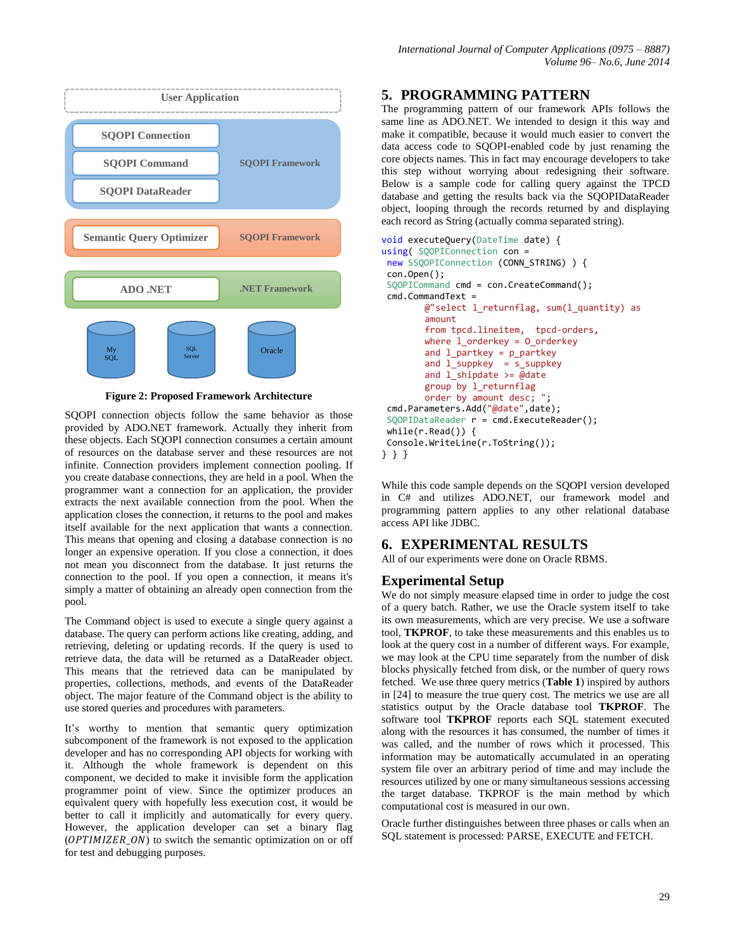

**Figure 2: Proposed Framework Architecture**

SQOPI connection objects follow the same behavior as those provided by ADO.NET framework. Actually they inherit from these objects. Each SQOPI connection consumes a certain amount of resources on the database server and these resources are not infinite. Connection providers implement connection pooling. If you create database connections, they are held in a pool. When the programmer want a connection for an application, the provider extracts the next available connection from the pool. When the application closes the connection, it returns to the pool and makes itself available for the next application that wants a connection. This means that opening and closing a database connection is no longer an expensive operation. If you close a connection, it does not mean you disconnect from the database. It just returns the connection to the pool. If you open a connection, it means it's simply a matter of obtaining an already open connection from the pool.

The Command object is used to execute a single query against a database. The query can perform actions like creating, adding, and retrieving, deleting or updating records. If the query is used to retrieve data, the data will be returned as a DataReader object. This means that the retrieved data can be manipulated by properties, collections, methods, and events of the DataReader object. The major feature of the Command object is the ability to use stored queries and procedures with parameters.

It's worthy to mention that semantic query optimization subcomponent of the framework is not exposed to the application developer and has no corresponding API objects for working with it. Although the whole framework is dependent on this component, we decided to make it invisible form the application programmer point of view. Since the optimizer produces an equivalent query with hopefully less execution cost, it would be better to call it implicitly and automatically for every query. However, the application developer can set a binary flag  $(OPTIMIZER_ON)$  to switch the semantic optimization on or off for test and debugging purposes.

## **5. PROGRAMMING PATTERN**

The programming pattern of our framework APIs follows the same line as ADO.NET. We intended to design it this way and make it compatible, because it would much easier to convert the data access code to SQOPI-enabled code by just renaming the core objects names. This in fact may encourage developers to take this step without worrying about redesigning their software. Below is a sample code for calling query against the TPCD database and getting the results back via the SQOPIDataReader object, looping through the records returned by and displaying each record as String (actually comma separated string).

```
void executeQuery(DateTime date) { 
using( SQOPIConnection con = 
new SSQOPIConnection (CONN STRING) ) {
 con.Open(); 
 SQOPICommand cmd = con.CreateCommand(); 
 cmd.CommandText = 
        @"select 1 return flag, sum(1 quantity) asamount 
        from tpcd.lineitem, tpcd-orders, 
        where l_orderkey = O_orderkey 
        and l partkey = p partkey
        and l_suppkey = s_suppkey 
        and \overline{1} shipdate >= @date
        group by l_returnflag 
        order by amount desc; "; 
 cmd.Parameters.Add("@date",date); 
 SQOPIDataReader r = cmd.ExecuteReader(); 
 while(r.Read()) { 
Console.WriteLine(r.ToString()); 
} } }
```
While this code sample depends on the SQOPI version developed in C# and utilizes ADO.NET, our framework model and programming pattern applies to any other relational database access API like JDBC.

# **6. EXPERIMENTAL RESULTS**

All of our experiments were done on Oracle RBMS.

# **Experimental Setup**

We do not simply measure elapsed time in order to judge the cost of a query batch. Rather, we use the Oracle system itself to take its own measurements, which are very precise. We use a software tool, **TKPROF**, to take these measurements and this enables us to look at the query cost in a number of different ways. For example, we may look at the CPU time separately from the number of disk blocks physically fetched from disk, or the number of query rows fetched. We use three query metrics (**[Table 1](#page-3-0)**) inspired by authors in [\[24\]](#page-5-13) to measure the true query cost. The metrics we use are all statistics output by the Oracle database tool **TKPROF**. The software tool **TKPROF** reports each SQL statement executed along with the resources it has consumed, the number of times it was called, and the number of rows which it processed. This information may be automatically accumulated in an operating system file over an arbitrary period of time and may include the resources utilized by one or many simultaneous sessions accessing the target database. TKPROF is the main method by which computational cost is measured in our own.

Oracle further distinguishes between three phases or calls when an SQL statement is processed: PARSE, EXECUTE and FETCH.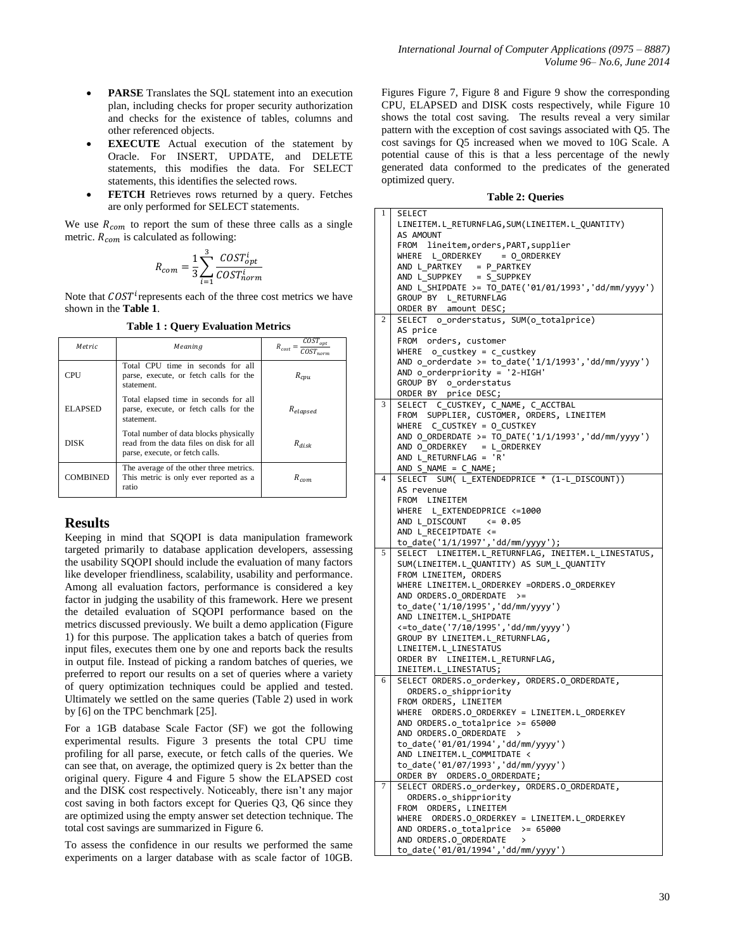- **PARSE** Translates the SQL statement into an execution plan, including checks for proper security authorization and checks for the existence of tables, columns and other referenced objects.
- **EXECUTE** Actual execution of the statement by Oracle. For INSERT, UPDATE, and DELETE statements, this modifies the data. For SELECT statements, this identifies the selected rows.
- **FETCH** Retrieves rows returned by a query. Fetches are only performed for SELECT statements.

We use  $R_{com}$  to report the sum of these three calls as a single metric.  $R_{com}$  is calculated as following:

$$
R_{com} = \frac{1}{3} \sum_{i=1}^{3} \frac{COST_{opt}^i}{COST_{norm}^i}
$$

Note that  $\textit{COST}^i$  represents each of the three cost metrics we have shown in the **[Table 1](#page-3-0)**.

**Table 1 : Query Evaluation Metrics**

<span id="page-3-0"></span>

| Metric      | Meaning                                                                                                               | $COST_{opt}$<br>$R_{cost}$ = |
|-------------|-----------------------------------------------------------------------------------------------------------------------|------------------------------|
| CPU         | Total CPU time in seconds for all<br>parse, execute, or fetch calls for the<br>statement.                             | $R_{cpu}$                    |
| ELAPSED     | Total elapsed time in seconds for all<br>parse, execute, or fetch calls for the<br>statement.                         | $R_{elapse}$                 |
| <b>DISK</b> | Total number of data blocks physically<br>read from the data files on disk for all<br>parse, execute, or fetch calls. | $R_{disk}$                   |
| COMBINED    | The average of the other three metrics.<br>This metric is only ever reported as a<br>ratio                            | $R_{com}$                    |

# **Results**

Keeping in mind that SQOPI is data manipulation framework targeted primarily to database application developers, assessing the usability SQOPI should include the evaluation of many factors like developer friendliness, scalability, usability and performance. Among all evaluation factors, performance is considered a key factor in judging the usability of this framework. Here we present the detailed evaluation of SQOPI performance based on the metrics discussed previously. We built a demo application [\(Figure](#page-0-0)  [1\)](#page-0-0) for this purpose. The application takes a batch of queries from input files, executes them one by one and reports back the results in output file. Instead of picking a random batches of queries, we preferred to report our results on a set of queries where a variety of query optimization techniques could be applied and tested. Ultimately we settled on the same queries [\(Table 2\)](#page-3-1) used in work by [\[6\]](#page-5-1) on the TPC benchmark [\[25\]](#page-5-14).

For a 1GB database Scale Factor (SF) we got the following experimental results. [Figure 3](#page-4-0) presents the total CPU time profiling for all parse, execute, or fetch calls of the queries. We can see that, on average, the optimized query is 2x better than the original query. [Figure 4](#page-4-1) and [Figure 5](#page-4-2) show the ELAPSED cost and the DISK cost respectively. Noticeably, there isn't any major cost saving in both factors except for Queries Q3, Q6 since they are optimized using the empty answer set detection technique. The total cost savings are summarized in [Figure 6.](#page-4-3)

To assess the confidence in our results we performed the same experiments on a larger database with as scale factor of 10GB. Figures [Figure 7,](#page-4-4) [Figure 8](#page-4-5) and [Figure 9](#page-4-6) show the corresponding CPU, ELAPSED and DISK costs respectively, while [Figure 10](#page-5-15) shows the total cost saving. The results reveal a very similar pattern with the exception of cost savings associated with Q5. The cost savings for Q5 increased when we moved to 10G Scale. A potential cause of this is that a less percentage of the newly generated data conformed to the predicates of the generated optimized query.

**Table 2: Queries**

<span id="page-3-1"></span>

| 1              | <b>SELECT</b>                                          |  |  |
|----------------|--------------------------------------------------------|--|--|
|                | LINEITEM.L RETURNFLAG, SUM (LINEITEM.L QUANTITY)       |  |  |
|                | AS AMOUNT                                              |  |  |
|                | FROM lineitem, orders, PART, supplier                  |  |  |
|                | WHERE L ORDERKEY = 0 ORDERKEY                          |  |  |
|                | AND L_PARTKEY = P_PARTKEY                              |  |  |
|                | AND L_SUPPKEY = S_SUPPKEY                              |  |  |
|                | AND L_SHIPDATE >= TO_DATE('01/01/1993','dd/mm/yyyy')   |  |  |
|                | GROUP BY L RETURNFLAG                                  |  |  |
|                | ORDER BY amount DESC;                                  |  |  |
| $\overline{2}$ | SELECT o_orderstatus, SUM(o_totalprice)                |  |  |
|                | AS price                                               |  |  |
|                | FROM orders, customer                                  |  |  |
|                | $WHERE$ o_custkey = c_custkey                          |  |  |
|                | AND $o$ _orderdate >= to_date('1/1/1993','dd/mm/yyyy') |  |  |
|                | AND $o$ orderpriority = '2-HIGH'                       |  |  |
|                | GROUP BY o orderstatus                                 |  |  |
|                | ORDER BY price DESC;                                   |  |  |
| 3              | SELECT C_CUSTKEY, C_NAME, C_ACCTBAL                    |  |  |
|                | FROM SUPPLIER, CUSTOMER, ORDERS, LINEITEM              |  |  |
|                | WHERE C_CUSTKEY = 0_CUSTKEY                            |  |  |
|                | AND O_ORDERDATE >= TO_DATE('1/1/1993','dd/mm/yyyy')    |  |  |
|                | AND O_ORDERKEY = L_ORDERKEY                            |  |  |
|                | AND L_RETURNFLAG = 'R'                                 |  |  |
|                | $AND S_NAME = C_NAME;$                                 |  |  |
| 4              | SELECT SUM( L_EXTENDEDPRICE * (1-L_DISCOUNT))          |  |  |
|                | AS revenue                                             |  |  |
|                | FROM LINEITEM                                          |  |  |
|                | WHERE L EXTENDEDPRICE <= 1000                          |  |  |
|                | AND L DISCOUNT<br>$\leq 0.05$                          |  |  |
|                | AND L RECEIPTDATE <=                                   |  |  |
|                | to_date('1/1/1997','dd/mm/yyyy');                      |  |  |
| 5              | SELECT LINEITEM.L RETURNFLAG, INEITEM.L LINESTATUS,    |  |  |
|                | SUM(LINEITEM.L_QUANTITY) AS SUM_L_QUANTITY             |  |  |
|                | FROM LINEITEM, ORDERS                                  |  |  |
|                | WHERE LINEITEM.L_ORDERKEY =ORDERS.O_ORDERKEY           |  |  |
|                | AND ORDERS.O ORDERDATE >=                              |  |  |
|                | to_date('1/10/1995','dd/mm/yyyy')                      |  |  |
|                | AND LINEITEM.L SHIPDATE                                |  |  |
|                | <= to_date('7/10/1995','dd/mm/yyyy')                   |  |  |
|                | GROUP BY LINEITEM.L RETURNFLAG,                        |  |  |
|                | LINEITEM.L_LINESTATUS                                  |  |  |
|                | ORDER BY LINEITEM.L_RETURNFLAG,                        |  |  |
|                | INEITEM.L_LINESTATUS;                                  |  |  |
| 6              | SELECT ORDERS.o_orderkey, ORDERS.O_ORDERDATE,          |  |  |
|                | ORDERS.o shippriority                                  |  |  |
|                | FROM ORDERS, LINEITEM                                  |  |  |
|                |                                                        |  |  |
|                | AND ORDERS.o totalprice >= 65000                       |  |  |
|                | AND ORDERS.O ORDERDATE >                               |  |  |
|                | to_date('01/01/1994','dd/mm/yyyy')                     |  |  |
|                | AND LINEITEM.L_COMMITDATE <                            |  |  |
|                | to_date('01/07/1993','dd/mm/yyyy')                     |  |  |
|                | ORDER BY ORDERS.O_ORDERDATE;                           |  |  |
| 7              | SELECT ORDERS.o_orderkey, ORDERS.O_ORDERDATE,          |  |  |
|                | ORDERS.o shippriority                                  |  |  |
|                | ORDERS, LINEITEM<br>FROM                               |  |  |
|                |                                                        |  |  |
|                | AND ORDERS.o_totalprice $> = 65000$                    |  |  |
|                | AND ORDERS.O ORDERDATE<br>$\mathcal{P}$                |  |  |
|                | to date('01/01/1994','dd/mm/yyyy')                     |  |  |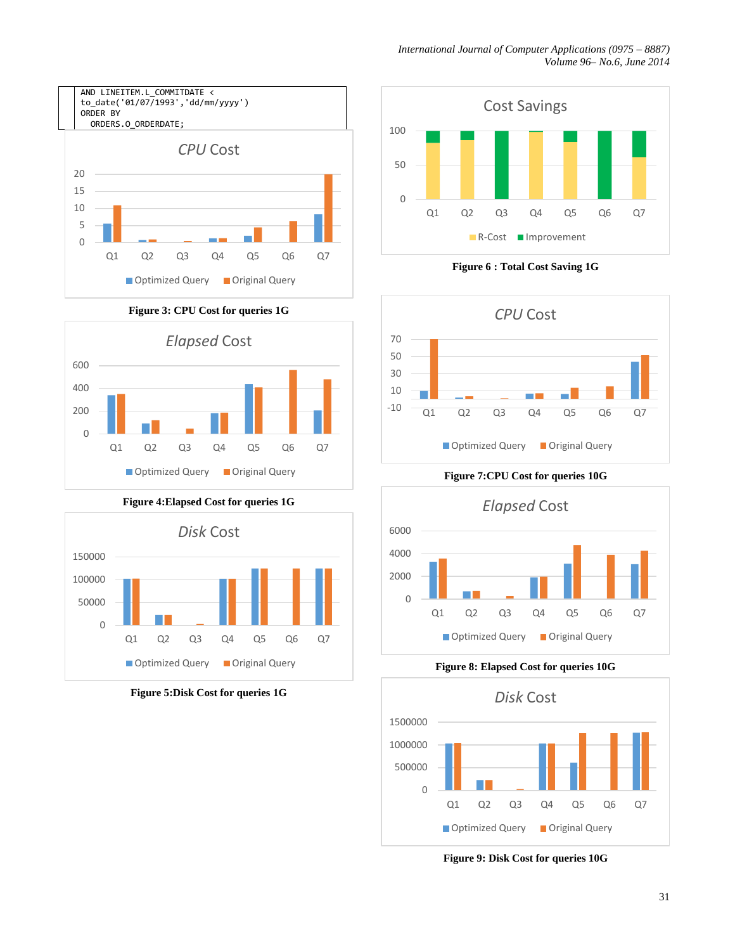

<span id="page-4-0"></span>



<span id="page-4-1"></span>

<span id="page-4-2"></span>**Figure 5:Disk Cost for queries 1G**



**Figure 6 : Total Cost Saving 1G**

<span id="page-4-3"></span>

**Figure 7:CPU Cost for queries 10G**

<span id="page-4-4"></span>

**Figure 8: Elapsed Cost for queries 10G**

<span id="page-4-5"></span>

<span id="page-4-6"></span>**Figure 9: Disk Cost for queries 10G**